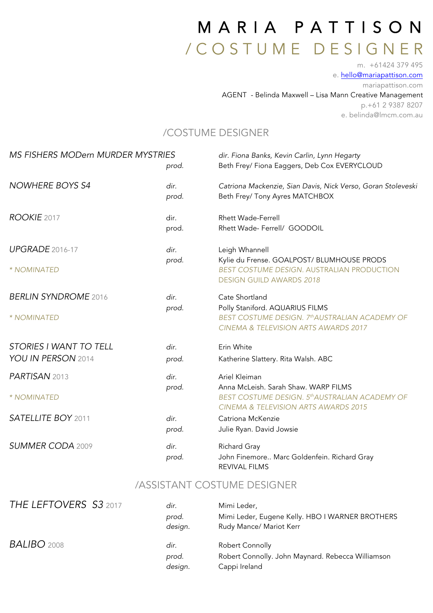## MARIA PATTISON / <sup>C</sup> <sup>O</sup> <sup>S</sup> <sup>T</sup> <sup>U</sup> <sup>M</sup> E D E S I G N E R m. +61424 379 495

e. hello@mariapattison.com mariapattison.com

AGENT - Belinda Maxwell – Lisa Mann Creative Management p.+61 2 9387 8207 e. belinda@lmcm.com.au

### /COSTUME DESIGNER

| <b>MS FISHERS MODern MURDER MYSTRIES</b> | prod.         | dir. Fiona Banks, Kevin Carlin, Lynn Hegarty<br>Beth Frey/ Fiona Eaggers, Deb Cox EVERYCLOUD                                |
|------------------------------------------|---------------|-----------------------------------------------------------------------------------------------------------------------------|
| <b>NOWHERE BOYS S4</b>                   | dir.<br>prod. | Catriona Mackenzie, Sian Davis, Nick Verso, Goran Stoleveski<br>Beth Frey/ Tony Ayres MATCHBOX                              |
| ROOKIE 2017                              | dir.<br>prod. | <b>Rhett Wade-Ferrell</b><br>Rhett Wade- Ferrell/ GOODOIL                                                                   |
| <b>UPGRADE</b> 2016-17                   | dir.          | Leigh Whannell                                                                                                              |
| * NOMINATED                              | prod.         | Kylie du Frense. GOALPOST/ BLUMHOUSE PRODS<br>BEST COSTUME DESIGN. AUSTRALIAN PRODUCTION<br><b>DESIGN GUILD AWARDS 2018</b> |
| <b>BERLIN SYNDROME 2016</b>              | dir.          | Cate Shortland                                                                                                              |
| * NOMINATED                              | prod.         | Polly Staniford. AQUARIUS FILMS<br>BEST COSTUME DESIGN. 7th AUSTRALIAN ACADEMY OF<br>CINEMA & TELEVISION ARTS AWARDS 2017   |
| <b>STORIES I WANT TO TELL</b>            | dir.          | Erin White                                                                                                                  |
| YOU IN PERSON 2014                       | prod.         | Katherine Slattery. Rita Walsh. ABC                                                                                         |
| PARTISAN 2013                            | dir.<br>prod. | Ariel Kleiman<br>Anna McLeish. Sarah Shaw. WARP FILMS                                                                       |
| * NOMINATED                              |               | BEST COSTUME DESIGN. 5th AUSTRALIAN ACADEMY OF<br>CINEMA & TELEVISION ARTS AWARDS 2015                                      |
| <b>SATELLITE BOY 2011</b>                | dir.<br>prod. | Catriona McKenzie<br>Julie Ryan. David Jowsie                                                                               |
| <b>SUMMER CODA 2009</b>                  | dir.<br>prod. | Richard Gray<br>John Finemore Marc Goldenfein. Richard Gray<br>REVIVAL FILMS                                                |

### /ASSISTANT COSTUME DESIGNER

| THE LEFTOVERS S3 2017 | dir.<br>prod.<br>design. | Mimi Leder,<br>Mimi Leder, Eugene Kelly. HBO I WARNER BROTHERS<br>Rudy Mance/ Mariot Kerr |
|-----------------------|--------------------------|-------------------------------------------------------------------------------------------|
| <b>BALIBO</b> 2008    | dir.<br>prod.<br>design. | Robert Connolly<br>Robert Connolly. John Maynard. Rebecca Williamson<br>Cappi Ireland     |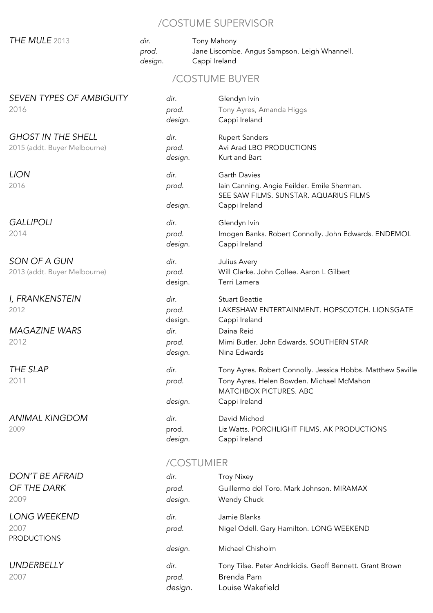## /COSTUME SUPERVISOR

|                                                           |                          | /UUSTUIVIE SUPERVISUR                                                                                                                               |  |  |  |
|-----------------------------------------------------------|--------------------------|-----------------------------------------------------------------------------------------------------------------------------------------------------|--|--|--|
| THE MULE 2013                                             | dir.<br>prod.<br>design. | Tony Mahony<br>Jane Liscombe. Angus Sampson. Leigh Whannell.<br>Cappi Ireland                                                                       |  |  |  |
| /COSTUME BUYER                                            |                          |                                                                                                                                                     |  |  |  |
| <b>SEVEN TYPES OF AMBIGUITY</b><br>2016                   | dir.<br>prod.<br>design. | Glendyn Ivin<br>Tony Ayres, Amanda Higgs<br>Cappi Ireland                                                                                           |  |  |  |
| <b>GHOST IN THE SHELL</b><br>2015 (addt. Buyer Melbourne) | dir.<br>prod.<br>design. | <b>Rupert Sanders</b><br>Avi Arad LBO PRODUCTIONS<br>Kurt and Bart                                                                                  |  |  |  |
| <b>LION</b><br>2016                                       | dir.<br>prod.<br>design. | <b>Garth Davies</b><br>Iain Canning. Angie Feilder. Emile Sherman.<br>SEE SAW FILMS. SUNSTAR. AQUARIUS FILMS<br>Cappi Ireland                       |  |  |  |
| <b>GALLIPOLI</b><br>2014                                  | dir.<br>prod.<br>design. | Glendyn Ivin<br>Imogen Banks. Robert Connolly. John Edwards. ENDEMOL<br>Cappi Ireland                                                               |  |  |  |
| SON OF A GUN<br>2013 (addt. Buyer Melbourne)              | dir.<br>prod.<br>design. | Julius Avery<br>Will Clarke. John Collee. Aaron L Gilbert<br>Terri Lamera                                                                           |  |  |  |
| I, FRANKENSTEIN<br>2012                                   | dir.<br>prod.<br>design. | <b>Stuart Beattie</b><br>LAKESHAW ENTERTAINMENT. HOPSCOTCH. LIONSGATE<br>Cappi Ireland                                                              |  |  |  |
| <b>MAGAZINE WARS</b><br>2012                              | dir.<br>prod.<br>design. | Daina Reid<br>Mimi Butler. John Edwards. SOUTHERN STAR<br>Nina Edwards                                                                              |  |  |  |
| THE SLAP<br>2011                                          | dir.<br>prod.<br>design. | Tony Ayres. Robert Connolly. Jessica Hobbs. Matthew Saville<br>Tony Ayres. Helen Bowden. Michael McMahon<br>MATCHBOX PICTURES. ABC<br>Cappi Ireland |  |  |  |
| <b>ANIMAL KINGDOM</b><br>2009                             | dir.<br>prod.<br>design. | David Michod<br>Liz Watts. PORCHLIGHT FILMS. AK PRODUCTIONS<br>Cappi Ireland                                                                        |  |  |  |
|                                                           |                          | $C$ $C$ $T$ $I$ $I$ $I$ $I$ $I$ $T$ $D$                                                                                                             |  |  |  |

### /COSTUMIER

| DON'T BE AFRAID<br>OF THE DARK<br>2009     | dir.<br>prod.<br>design. | <b>Troy Nixey</b><br>Guillermo del Toro. Mark Johnson. MIRAMAX<br>Wendy Chuck              |
|--------------------------------------------|--------------------------|--------------------------------------------------------------------------------------------|
| LONG WEEKEND<br>2007<br><b>PRODUCTIONS</b> | dir.<br>prod.            | Jamie Blanks<br>Nigel Odell. Gary Hamilton. LONG WEEKEND                                   |
|                                            | design.                  | Michael Chisholm                                                                           |
| <b>UNDERBELLY</b><br>2007                  | dir.<br>prod.<br>design. | Tony Tilse. Peter Andrikidis. Geoff Bennett. Grant Brown<br>Brenda Pam<br>Louise Wakefield |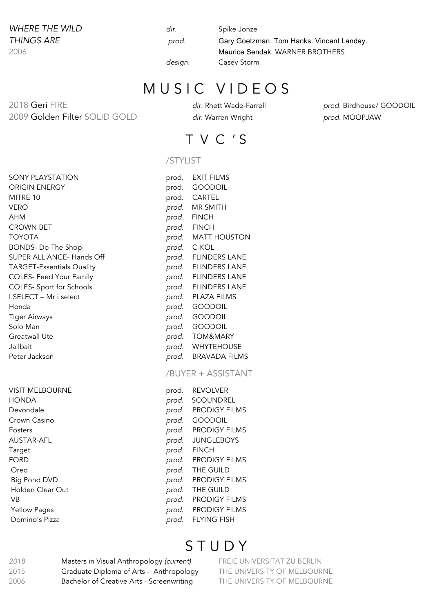# **WHERE THE WILD dir.** Spike Jonze

*THINGS ARE prod.* Gary Goetzman. Tom Hanks. Vincent Landay. 2006 Maurice Sendak. WARNER BROTHERS *design.* Casey Storm

## MUSIC VIDEOS

2018 Geri FIRE *dir.* Rhett Wade-Farrell *prod.* Birdhouse/ GOODOIL 2009 Golden Filter SOLID GOLD *dir.* Warren Wright *prod.* MOOPJAW

## T V C ' S

#### /STYLIST

| SONY PLAYSTATION                 | prod. | EXIT FILMS           |
|----------------------------------|-------|----------------------|
| ORIGIN ENERGY                    | prod. | <b>GOODOIL</b>       |
| MITRE 10                         | prod. | CARTEL               |
| VERO                             | prod. | MR SMITH             |
| AHM                              | prod. | <b>FINCH</b>         |
| <b>CROWN BET</b>                 | prod. | <b>FINCH</b>         |
| <b>TOYOTA</b>                    | prod. | <b>MATT HOUSTON</b>  |
| <b>BONDS-Do The Shop</b>         | prod. | C-KOL                |
| SUPER ALLIANCE- Hands Off        |       | prod. FLINDERS LANE  |
| <b>TARGET-Essentials Quality</b> |       | prod. FLINDERS LANE  |
| <b>COLES- Feed Your Family</b>   |       | prod. FLINDERS LANE  |
| <b>COLES- Sport for Schools</b>  |       | prod. FLINDERS LANE  |
| I SELECT - Mr i select           | prod. | PLAZA FILMS          |
| Honda                            | prod. | <b>GOODOIL</b>       |
| Tiger Airways                    | prod. | <b>GOODOIL</b>       |
| Solo Man                         | prod. | <b>GOODOIL</b>       |
| Greatwall Ute                    | prod. | TOM&MARY             |
| Jailbait                         | prod. | <b>WHYTEHOUSE</b>    |
| Peter Jackson                    |       | prod. BRAVADA FILMS  |
|                                  |       | /BUYER + ASSISTANT   |
| <b>VISIT MELBOURNE</b>           | prod. | <b>REVOLVER</b>      |
| <b>HONDA</b>                     | prod. | SCOUNDREL            |
| Devondale                        | prod. | <b>PRODIGY FILMS</b> |
| Crown Casino                     | prod. | <b>GOODOIL</b>       |
| Fosters                          | prod. | <b>PRODIGY FILMS</b> |
| <b>AUSTAR-AFL</b>                | prod. | <b>JUNGLEBOYS</b>    |
| Target                           | prod. | <b>FINCH</b>         |
| FORD                             | prod. | <b>PRODIGY FILMS</b> |
| Oreo                             | prod. | THE GUILD            |
| <b>Big Pond DVD</b>              | prod. | <b>PRODIGY FILMS</b> |
| Holden Clear Out                 | prod. | THE GUILD            |
| <b>VB</b>                        | prod. | PRODIGY FILMS        |
| <b>Yellow Pages</b>              | prod. | <b>PRODIGY FILMS</b> |
| Domino's Pizza                   | prod. | <b>FLYING FISH</b>   |

## **STUDY**

*2018* Masters in Visual Anthropology *(current)* FREIE UNIVERSITAT ZU BERLIN 2015 Graduate Diploma of Arts *-* Anthropology THE UNIVERSITY OF MELBOURNE 2006 Bachelor of Creative Arts - Screenwriting THE UNIVERSITY OF MELBOURNE

| SONY PLAYSTATION                 | prod. | <b>EXIT FILMS</b>    |
|----------------------------------|-------|----------------------|
| ORIGIN ENERGY                    | prod. | <b>GOODOIL</b>       |
| MITRE 10                         | prod. | CARTEL               |
| VERO                             | prod. | <b>MR SMITH</b>      |
| АНМ                              | prod. | <b>FINCH</b>         |
| CROWN BET                        | prod. | <b>FINCH</b>         |
| TOYOTA                           | prod. | <b>MATT HOUSTON</b>  |
| <b>BONDS-Do The Shop</b>         |       | prod. C-KOL          |
| SUPER ALLIANCE- Hands Off        | prod. | <b>FLINDERS LANE</b> |
| <b>TARGET-Essentials Quality</b> | prod. | <b>FLINDERS LANE</b> |
| <b>COLES- Feed Your Family</b>   | prod. | <b>FLINDERS LANE</b> |
| <b>COLES- Sport for Schools</b>  | prod. | <b>FLINDERS LANE</b> |
| I SELECT - Mr i select           | prod. | <b>PLAZA FILMS</b>   |
| Honda                            | prod. | <b>GOODOIL</b>       |
| Tiger Airways                    | prod. | <b>GOODOIL</b>       |
| Solo Man                         | prod. | <b>GOODOIL</b>       |
| Greatwall Ute                    | prod. | TOM&MARY             |
| Jailbait                         |       | prod. WHYTEHOUSE     |
| Peter Jackson                    | prod. | <b>BRAVADA FILMS</b> |
|                                  |       |                      |